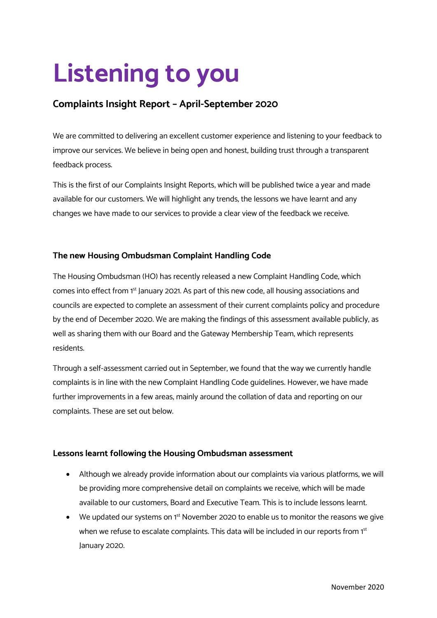# **Listening to you**

# **Complaints Insight Report – April-September 2020**

We are committed to delivering an excellent customer experience and listening to your feedback to improve our services. We believe in being open and honest, building trust through a transparent feedback process.

This is the first of our Complaints Insight Reports, which will be published twice a year and made available for our customers. We will highlight any trends, the lessons we have learnt and any changes we have made to our services to provide a clear view of the feedback we receive.

### **The new Housing Ombudsman Complaint Handling Code**

The Housing Ombudsman (HO) has recently released a new Complaint Handling Code, which comes into effect from 1<sup>st</sup> January 2021. As part of this new code, all housing associations and councils are expected to complete an assessment of their current complaints policy and procedure by the end of December 2020. We are making the findings of this assessment available publicly, as well as sharing them with our Board and the Gateway Membership Team, which represents residents.

Through a self-assessment carried out in September, we found that the way we currently handle complaints is in line with the new Complaint Handling Code guidelines. However, we have made further improvements in a few areas, mainly around the collation of data and reporting on our complaints. These are set out below.

#### **Lessons learnt following the Housing Ombudsman assessment**

- Although we already provide information about our complaints via various platforms, we will be providing more comprehensive detail on complaints we receive, which will be made available to our customers, Board and Executive Team. This is to include lessons learnt.
- We updated our systems on  $1<sup>st</sup>$  November 2020 to enable us to monitor the reasons we give when we refuse to escalate complaints. This data will be included in our reports from 1<sup>st</sup> January 2020.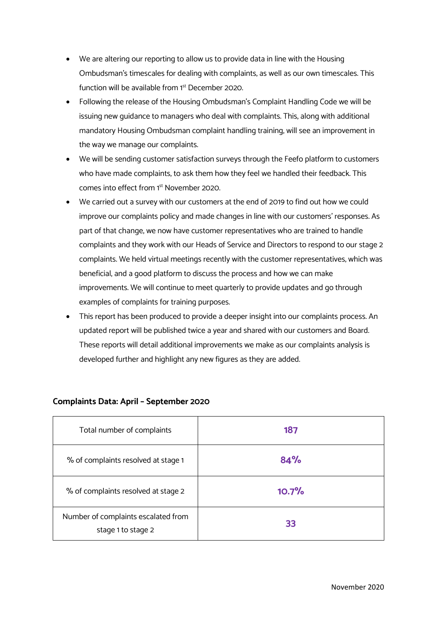- We are altering our reporting to allow us to provide data in line with the Housing Ombudsman's timescales for dealing with complaints, as well as our own timescales. This function will be available from 1st December 2020.
- Following the release of the Housing Ombudsman's Complaint Handling Code we will be issuing new guidance to managers who deal with complaints. This, along with additional mandatory Housing Ombudsman complaint handling training, will see an improvement in the way we manage our complaints.
- We will be sending customer satisfaction surveys through the Feefo platform to customers who have made complaints, to ask them how they feel we handled their feedback. This comes into effect from 1st November 2020.
- We carried out a survey with our customers at the end of 2019 to find out how we could improve our complaints policy and made changes in line with our customers' responses. As part of that change, we now have customer representatives who are trained to handle complaints and they work with our Heads of Service and Directors to respond to our stage 2 complaints. We held virtual meetings recently with the customer representatives, which was beneficial, and a good platform to discuss the process and how we can make improvements. We will continue to meet quarterly to provide updates and go through examples of complaints for training purposes.
- This report has been produced to provide a deeper insight into our complaints process. An updated report will be published twice a year and shared with our customers and Board. These reports will detail additional improvements we make as our complaints analysis is developed further and highlight any new figures as they are added.

| Total number of complaints                                | 187   |
|-----------------------------------------------------------|-------|
| % of complaints resolved at stage 1                       | 84%   |
| % of complaints resolved at stage 2                       | 10.7% |
| Number of complaints escalated from<br>stage 1 to stage 2 | 33    |

# **Complaints Data: April – September 2020**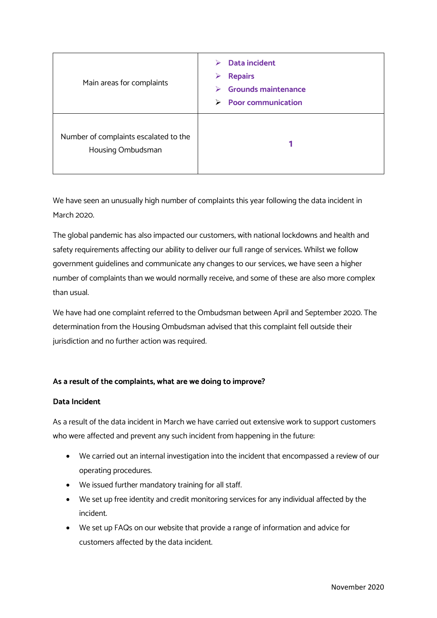| Main areas for complaints                                  | <b>Data incident</b><br>⋗<br><b>Repairs</b><br>⋗<br><b>Grounds maintenance</b><br>⋗<br><b>Poor communication</b><br>↘ |
|------------------------------------------------------------|-----------------------------------------------------------------------------------------------------------------------|
| Number of complaints escalated to the<br>Housing Ombudsman |                                                                                                                       |

We have seen an unusually high number of complaints this year following the data incident in March 2020.

The global pandemic has also impacted our customers, with national lockdowns and health and safety requirements affecting our ability to deliver our full range of services. Whilst we follow government guidelines and communicate any changes to our services, we have seen a higher number of complaints than we would normally receive, and some of these are also more complex than usual.

We have had one complaint referred to the Ombudsman between April and September 2020. The determination from the Housing Ombudsman advised that this complaint fell outside their jurisdiction and no further action was required.

# **As a result of the complaints, what are we doing to improve?**

#### **Data Incident**

As a result of the data incident in March we have carried out extensive work to support customers who were affected and prevent any such incident from happening in the future:

- We carried out an internal investigation into the incident that encompassed a review of our operating procedures.
- We issued further mandatory training for all staff.
- We set up free identity and credit monitoring services for any individual affected by the incident.
- We set up FAQs on our website that provide a range of information and advice for customers affected by the data incident.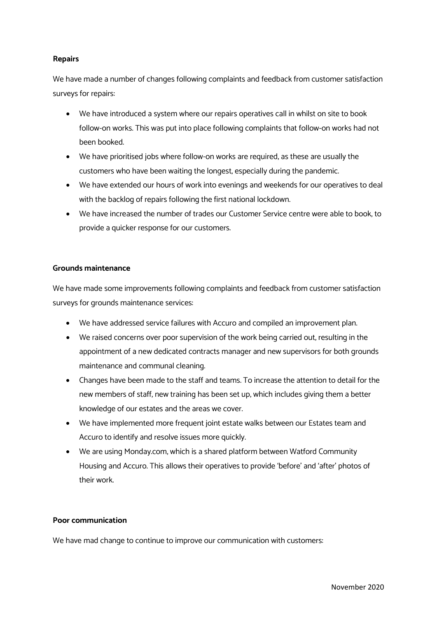#### **Repairs**

We have made a number of changes following complaints and feedback from customer satisfaction surveys for repairs:

- We have introduced a system where our repairs operatives call in whilst on site to book follow-on works. This was put into place following complaints that follow-on works had not been booked.
- We have prioritised jobs where follow-on works are required, as these are usually the customers who have been waiting the longest, especially during the pandemic.
- We have extended our hours of work into evenings and weekends for our operatives to deal with the backlog of repairs following the first national lockdown.
- We have increased the number of trades our Customer Service centre were able to book, to provide a quicker response for our customers.

#### **Grounds maintenance**

We have made some improvements following complaints and feedback from customer satisfaction surveys for grounds maintenance services:

- We have addressed service failures with Accuro and compiled an improvement plan.
- We raised concerns over poor supervision of the work being carried out, resulting in the appointment of a new dedicated contracts manager and new supervisors for both grounds maintenance and communal cleaning.
- Changes have been made to the staff and teams. To increase the attention to detail for the new members of staff, new training has been set up, which includes giving them a better knowledge of our estates and the areas we cover.
- We have implemented more frequent joint estate walks between our Estates team and Accuro to identify and resolve issues more quickly.
- We are using Monday.com, which is a shared platform between Watford Community Housing and Accuro. This allows their operatives to provide 'before' and 'after' photos of their work.

#### **Poor communication**

We have mad change to continue to improve our communication with customers: